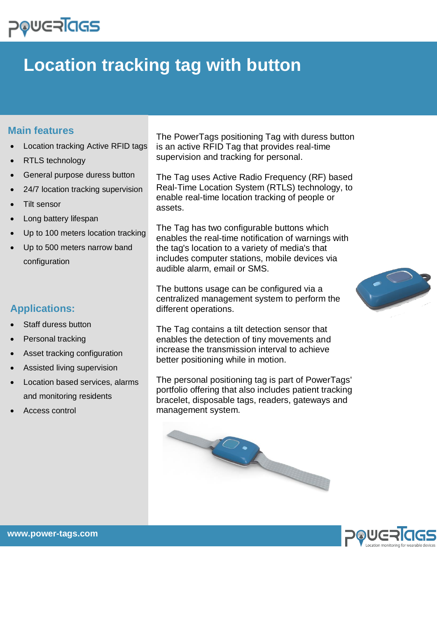# **DOUGRICIS**

## **Location tracking tag with button**

## **Main features**

- Location tracking Active RFID tags
- RTLS technology
- General purpose duress button
- 24/7 location tracking supervision
- Tilt sensor
- Long battery lifespan
- Up to 100 meters location tracking
- Up to 500 meters narrow band configuration

## **Applications:**

- Staff duress button
- Personal tracking
- Asset tracking configuration
- Assisted living supervision
- Location based services, alarms and monitoring residents
- Access control

The PowerTags positioning Tag with duress button is an active RFID Tag that provides real-time supervision and tracking for personal.

The Tag uses Active Radio Frequency (RF) based Real-Time Location System (RTLS) technology, to enable real-time location tracking of people or assets.

The Tag has two configurable buttons which enables the real-time notification of warnings with the tag's location to a variety of media's that includes computer stations, mobile devices via audible alarm, email or SMS.

The buttons usage can be configured via a centralized management system to perform the different operations.

The Tag contains a tilt detection sensor that enables the detection of tiny movements and increase the transmission interval to achieve better positioning while in motion.

The personal positioning tag is part of PowerTags' portfolio offering that also includes patient tracking bracelet, disposable tags, readers, gateways and management system.